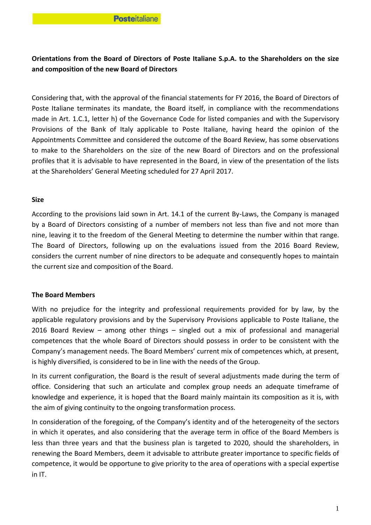# **Orientations from the Board of Directors of Poste Italiane S.p.A. to the Shareholders on the size and composition of the new Board of Directors**

Considering that, with the approval of the financial statements for FY 2016, the Board of Directors of Poste Italiane terminates its mandate, the Board itself, in compliance with the recommendations made in Art. 1.C.1, letter h) of the Governance Code for listed companies and with the Supervisory Provisions of the Bank of Italy applicable to Poste Italiane, having heard the opinion of the Appointments Committee and considered the outcome of the Board Review, has some observations to make to the Shareholders on the size of the new Board of Directors and on the professional profiles that it is advisable to have represented in the Board, in view of the presentation of the lists at the Shareholders' General Meeting scheduled for 27 April 2017.

## **Size**

According to the provisions laid sown in Art. 14.1 of the current By-Laws, the Company is managed by a Board of Directors consisting of a number of members not less than five and not more than nine, leaving it to the freedom of the General Meeting to determine the number within that range. The Board of Directors, following up on the evaluations issued from the 2016 Board Review, considers the current number of nine directors to be adequate and consequently hopes to maintain the current size and composition of the Board.

## **The Board Members**

With no prejudice for the integrity and professional requirements provided for by law, by the applicable regulatory provisions and by the Supervisory Provisions applicable to Poste Italiane, the 2016 Board Review – among other things – singled out a mix of professional and managerial competences that the whole Board of Directors should possess in order to be consistent with the Company's management needs. The Board Members' current mix of competences which, at present, is highly diversified, is considered to be in line with the needs of the Group.

In its current configuration, the Board is the result of several adjustments made during the term of office. Considering that such an articulate and complex group needs an adequate timeframe of knowledge and experience, it is hoped that the Board mainly maintain its composition as it is, with the aim of giving continuity to the ongoing transformation process.

In consideration of the foregoing, of the Company's identity and of the heterogeneity of the sectors in which it operates, and also considering that the average term in office of the Board Members is less than three years and that the business plan is targeted to 2020, should the shareholders, in renewing the Board Members, deem it advisable to attribute greater importance to specific fields of competence, it would be opportune to give priority to the area of operations with a special expertise in IT.